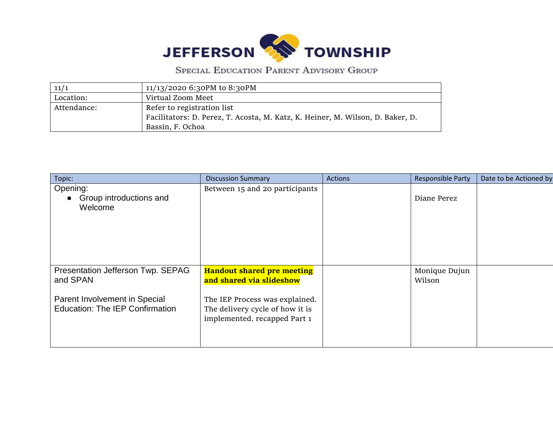

SPECIAL EDUCATION PARENT ADVISORY GROUP

| 11/1        | 11/13/2020 6:30PM to 8:30PM                                                    |
|-------------|--------------------------------------------------------------------------------|
| Location:   | Virtual Zoom Meet                                                              |
| Attendance: | Refer to registration list                                                     |
|             | Facilitators: D. Perez, T. Acosta, M. Katz, K. Heiner, M. Wilson, D. Baker, D. |
|             | Bassin, F. Ochoa                                                               |

| Topic:                                                                                                                   | <b>Discussion Summary</b>                                                                                                                                          | <b>Actions</b> | <b>Responsible Party</b> | Date to be Actioned by |
|--------------------------------------------------------------------------------------------------------------------------|--------------------------------------------------------------------------------------------------------------------------------------------------------------------|----------------|--------------------------|------------------------|
| Opening:<br>Group introductions and<br>Welcome                                                                           | Between 15 and 20 participants                                                                                                                                     |                | Diane Perez              |                        |
| Presentation Jefferson Twp. SEPAG<br>and SPAN<br>Parent Involvement in Special<br><b>Education: The IEP Confirmation</b> | <b>Handout shared pre meeting</b><br>and shared via slideshow<br>The IEP Process was explained.<br>The delivery cycle of how it is<br>implemented. recapped Part 1 |                | Monique Dujun<br>Wilson  |                        |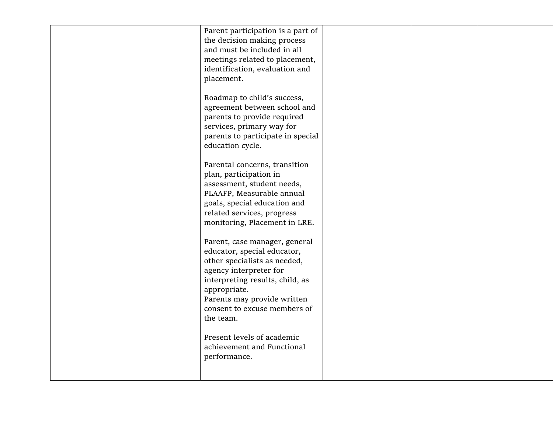| Parent participation is a part of<br>the decision making process<br>and must be included in all<br>meetings related to placement,<br>identification, evaluation and<br>placement.<br>Roadmap to child's success,<br>agreement between school and<br>parents to provide required |  |  |
|---------------------------------------------------------------------------------------------------------------------------------------------------------------------------------------------------------------------------------------------------------------------------------|--|--|
| services, primary way for<br>parents to participate in special<br>education cycle.                                                                                                                                                                                              |  |  |
| Parental concerns, transition<br>plan, participation in<br>assessment, student needs,<br>PLAAFP, Measurable annual<br>goals, special education and<br>related services, progress<br>monitoring, Placement in LRE.                                                               |  |  |
| Parent, case manager, general<br>educator, special educator,<br>other specialists as needed,<br>agency interpreter for<br>interpreting results, child, as<br>appropriate.<br>Parents may provide written<br>consent to excuse members of<br>the team.                           |  |  |
| Present levels of academic<br>achievement and Functional<br>performance.                                                                                                                                                                                                        |  |  |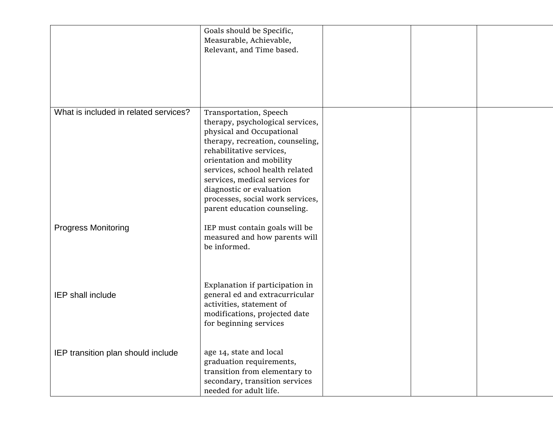|                                       | Goals should be Specific,<br>Measurable, Achievable,<br>Relevant, and Time based.                                                                                                                                                                                                                                                                        |  |  |
|---------------------------------------|----------------------------------------------------------------------------------------------------------------------------------------------------------------------------------------------------------------------------------------------------------------------------------------------------------------------------------------------------------|--|--|
| What is included in related services? | Transportation, Speech<br>therapy, psychological services,<br>physical and Occupational<br>therapy, recreation, counseling,<br>rehabilitative services,<br>orientation and mobility<br>services, school health related<br>services, medical services for<br>diagnostic or evaluation<br>processes, social work services,<br>parent education counseling. |  |  |
| <b>Progress Monitoring</b>            | IEP must contain goals will be<br>measured and how parents will<br>be informed.                                                                                                                                                                                                                                                                          |  |  |
| IEP shall include                     | Explanation if participation in<br>general ed and extracurricular<br>activities, statement of<br>modifications, projected date<br>for beginning services                                                                                                                                                                                                 |  |  |
| IEP transition plan should include    | age 14, state and local<br>graduation requirements,<br>transition from elementary to<br>secondary, transition services<br>needed for adult life.                                                                                                                                                                                                         |  |  |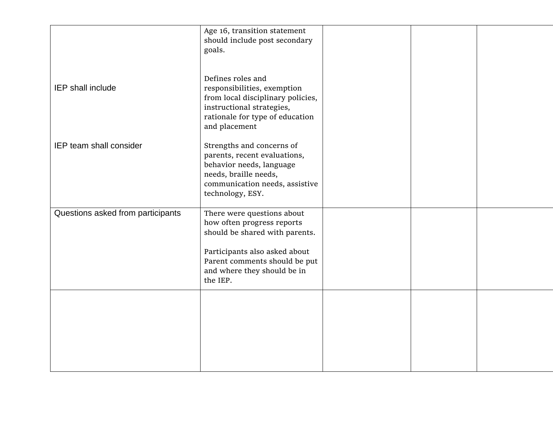|                                   | Age 16, transition statement<br>should include post secondary<br>goals.                                                                                                                                 |  |  |
|-----------------------------------|---------------------------------------------------------------------------------------------------------------------------------------------------------------------------------------------------------|--|--|
| IEP shall include                 | Defines roles and<br>responsibilities, exemption<br>from local disciplinary policies,<br>instructional strategies,<br>rationale for type of education<br>and placement                                  |  |  |
| IEP team shall consider           | Strengths and concerns of<br>parents, recent evaluations,<br>behavior needs, language<br>needs, braille needs,<br>communication needs, assistive<br>technology, ESY.                                    |  |  |
| Questions asked from participants | There were questions about<br>how often progress reports<br>should be shared with parents.<br>Participants also asked about<br>Parent comments should be put<br>and where they should be in<br>the IEP. |  |  |
|                                   |                                                                                                                                                                                                         |  |  |